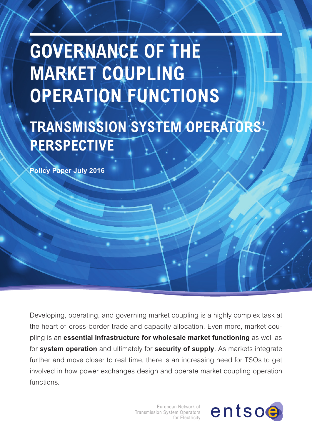# **GOVERNANCE OF THE MARKET COUPLING OPERATION FUNCTIONS**

# **TRANSMISSION SYSTEM OPERATORS' PERSPECTIVE**

**Policy Paper July 2016**

Developing, operating, and governing market coupling is a highly complex task at the heart of cross-border trade and capacity allocation. Even more, market coupling is an **essential infrastructure for wholesale market functioning** as well as for **system operation** and ultimately for **security of supply**. As markets integrate further and move closer to real time, there is an increasing need for TSOs to get involved in how power exchanges design and operate market coupling operation functions.

> European Network of Transmission System Operators for Electricity

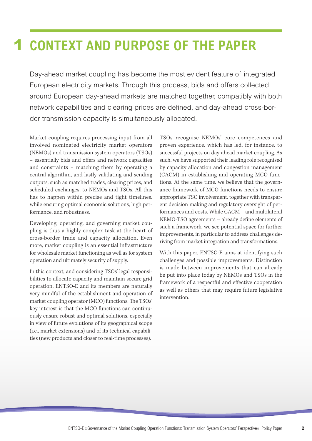## **1 CONTEXT AND PURPOSE OF THE PAPER**

Day-ahead market coupling has become the most evident feature of integrated European electricity markets. Through this process, bids and offers collected around European day-ahead markets are matched together, compatibly with both network capabilities and clearing prices are defined, and day-ahead cross-border transmission capacity is simultaneously allocated.

Market coupling requires processing input from all involved nominated electricity market operators (NEMOs) and transmission system operators (TSOs) – essentially bids and offers and network capacities and constraints – matching them by operating a central algorithm, and lastly validating and sending outputs, such as matched trades, clearing prices, and scheduled exchanges, to NEMOs and TSOs. All this has to happen within precise and tight timelines, while ensuring optimal economic solutions, high performance, and robustness.

Developing, operating, and governing market coupling is thus a highly complex task at the heart of cross-border trade and capacity allocation. Even more, market coupling is an essential infrastructure for wholesale market functioning as well as for system operation and ultimately security of supply.

In this context, and considering TSOs' legal responsibilities to allocate capacity and maintain secure grid operation, ENTSO-E and its members are naturally very mindful of the establishment and operation of market coupling operator (MCO) functions. The TSOs' key interest is that the MCO functions can continuously ensure robust and optimal solutions, especially in view of future evolutions of its geographical scope (i.e., market extensions) and of its technical capabilities (new products and closer to real-time processes).

TSOs recognise NEMOs' core competences and proven experience, which has led, for instance, to successful projects on day-ahead market coupling. As such, we have supported their leading role recognised by capacity allocation and congestion management (CACM) in establishing and operating MCO functions. At the same time, we believe that the governance framework of MCO functions needs to ensure appropriate TSO involvement, together with transparent decision making and regulatory oversight of performances and costs. While CACM – and multilateral NEMO-TSO agreements – already define elements of such a framework, we see potential space for further improvements, in particular to address challenges deriving from market integration and transformations.

With this paper, ENTSO-E aims at identifying such challenges and possible improvements. Distinction is made between improvements that can already be put into place today by NEMOs and TSOs in the framework of a respectful and effective cooperation as well as others that may require future legislative intervention.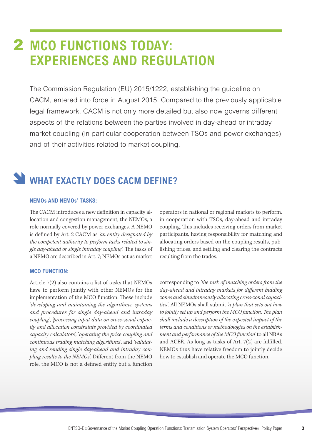### **2 MCO FUNCTIONS TODAY: EXPERIENCES AND REGULATION**

The Commission Regulation (EU) 2015/1222, establishing the guideline on CACM, entered into force in August 2015. Compared to the previously applicable legal framework, CACM is not only more detailed but also now governs different aspects of the relations between the parties involved in day-ahead or intraday market coupling (in particular cooperation between TSOs and power exchanges) and of their activities related to market coupling.

### WHAT EXACTLY DOES CACM DEFINE?

#### **NEMOs AND NEMOs' TASKS:**

The CACM introduces a new definition in capacity allocation and congestion management, the NEMOs, a role normally covered by power exchanges. A NEMO is defined by Art. 2 CACM as *'an entity designated by the competent authority to perform tasks related to single day-ahead or single intraday coupling'*. The tasks of a NEMO are described in Art. 7; NEMOs act as market

#### **MCO FUNCTION:**

Article 7(2) also contains a list of tasks that NEMOs have to perform jointly with other NEMOs for the implementation of the MCO function. These include '*developing and maintaining the algorithms, systems and procedures for single day-ahead and intraday coupling'*, *'processing input data on cross-zonal capacity and allocation constraints provided by coordinated capacity calculators'*, '*operating the price coupling and continuous trading matching algorithms'*, and *'validating and sending single day-ahead and intraday coupling results to the NEMOs'*. Different from the NEMO role, the MCO is not a defined entity but a function

operators in national or regional markets to perform, in cooperation with TSOs, day-ahead and intraday coupling. This includes receiving orders from market participants, having responsibility for matching and allocating orders based on the coupling results, publishing prices, and settling and clearing the contracts resulting from the trades.

corresponding to *'the task of matching orders from the day-ahead and intraday markets for different bidding zones and simultaneously allocating cross-zonal capacities'*. All NEMOs shall submit *'a plan that sets out how to jointly set up and perform the MCO function. The plan shall include a description of the expected impact of the terms and conditions or methodologies on the establishment and performance of the MCO function'* to all NRAs and ACER. As long as tasks of Art. 7(2) are fulfilled, NEMOs thus have relative freedom to jointly decide how to establish and operate the MCO function.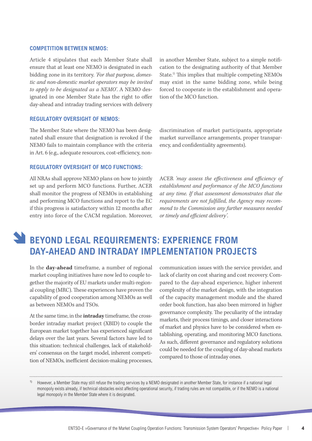#### **COMPETITION BETWEEN NEMOS:**

Article 4 stipulates that each Member State shall ensure that at least one NEMO is designated in each bidding zone in its territory. *'For that purpose, domestic and non-domestic market operators may be invited to apply to be designated as a NEMO'*. A NEMO designated in one Member State has the right to offer day-ahead and intraday trading services with delivery in another Member State, subject to a simple notification to the designating authority of that Member State.1) This implies that multiple competing NEMOs may exist in the same bidding zone, while being forced to cooperate in the establishment and operation of the MCO function.

#### **REGULATORY OVERSIGHT OF NEMOS:**

The Member State where the NEMO has been designated shall ensure that designation is revoked if the NEMO fails to maintain compliance with the criteria in Art. 6 (e.g., adequate resources, cost-efficiency, non-

#### **REGULATORY OVERSIGHT OF MCO FUNCTIONS:**

All NRAs shall approve NEMO plans on how to jointly set up and perform MCO functions. Further, ACER shall monitor the progress of NEMOs in establishing and performing MCO functions and report to the EC if this progress is satisfactory within 12 months after entry into force of the CACM regulation. Moreover,

discrimination of market participants, appropriate market surveillance arrangements, proper transparency, and confidentiality agreements).

ACER *'may assess the effectiveness and efficiency of establishment and performance of the MCO functions at any time. If that assessment demonstrates that the requirements are not fulfilled, the Agency may recommend to the Commission any further measures needed or timely and efficient delivery'*.

### **BEYOND LEGAL REQUIREMENTS: EXPERIENCE FROM DAY-AHEAD AND INTRADAY IMPLEMENTATION PROJECTS**

In the **day-ahead** timeframe, a number of regional market coupling initiatives have now led to couple together the majority of EU markets under multi-regional coupling (MRC). These experiences have proven the capability of good cooperation among NEMOs as well as between NEMOs and TSOs.

At the same time, in the **intraday** timeframe, the crossborder intraday market project (XBID) to couple the European market together has experienced significant delays over the last years. Several factors have led to this situation: technical challenges, lack of stakeholders' consensus on the target model, inherent competition of NEMOs, inefficient decision-making processes,

communication issues with the service provider, and lack of clarity on cost sharing and cost recovery. Compared to the day-ahead experience, higher inherent complexity of the market design, with the integration of the capacity management module and the shared order book function, has also been mirrored in higher governance complexity. The peculiarity of the intraday markets, their process timings, and closer interactions of market and physics have to be considered when establishing, operating, and monitoring MCO functions. As such, different governance and regulatory solutions could be needed for the coupling of day-ahead markets compared to those of intraday ones.

1) However, a Member State may still refuse the trading services by a NEMO designated in another Member State, for instance if a national legal monopoly exists already, if technical obstacles exist affecting operational security, if trading rules are not compatible, or if the NEMO is a national legal monopoly in the Member State where it is designated.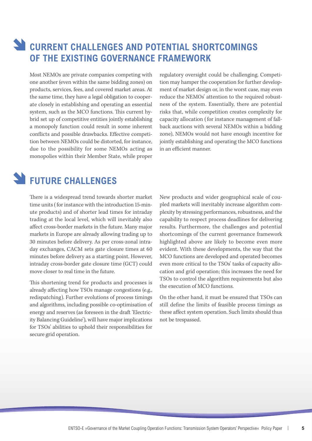### **CURRENT CHALLENGES AND POTENTIAL SHORTCOMINGS OF THE EXISTING GOVERNANCE FRAMEWORK**

Most NEMOs are private companies competing with one another (even within the same bidding zones) on products, services, fees, and covered market areas. At the same time, they have a legal obligation to cooperate closely in establishing and operating an essential system, such as the MCO functions. This current hybrid set up of competitive entities jointly establishing a monopoly function could result in some inherent conflicts and possible drawbacks. Effective competition between NEMOs could be distorted, for instance, due to the possibility for some NEMOs acting as monopolies within their Member State, while proper

regulatory oversight could be challenging. Competition may hamper the cooperation for further development of market design or, in the worst case, may even reduce the NEMOs' attention to the required robustness of the system. Essentially, there are potential risks that, while competition creates complexity for capacity allocation ( for instance management of fallback auctions with several NEMOs within a bidding zone), NEMOs would not have enough incentive for jointly establishing and operating the MCO functions in an efficient manner.

### **FUTURE CHALLENGES**

There is a widespread trend towards shorter market time units ( for instance with the introduction 15-minute products) and of shorter lead times for intraday trading at the local level, which will inevitably also affect cross-border markets in the future. Many major markets in Europe are already allowing trading up to 30 minutes before delivery. As per cross-zonal intraday exchanges, CACM sets gate closure times at 60 minutes before delivery as a starting point. However, intraday cross-border gate closure time (GCT) could move closer to real time in the future.

This shortening trend for products and processes is already affecting how TSOs manage congestions (e.g., redispatching). Further evolutions of process timings and algorithms, including possible co-optimisation of energy and reserves (as foreseen in the draft 'Electricity Balancing Guideline'), will have major implications for TSOs' abilities to uphold their responsibilities for secure grid operation.

New products and wider geographical scale of coupled markets will inevitably increase algorithm complexity by stressing performances, robustness, and the capability to respect process deadlines for delivering results. Furthermore, the challenges and potential shortcomings of the current governance framework highlighted above are likely to become even more evident. With these developments, the way that the MCO functions are developed and operated becomes even more critical to the TSOs' tasks of capacity allocation and grid operation; this increases the need for TSOs to control the algorithm requirements but also the execution of MCO functions.

On the other hand, it must be ensured that TSOs can still define the limits of feasible process timings as these affect system operation. Such limits should thus not be trespassed.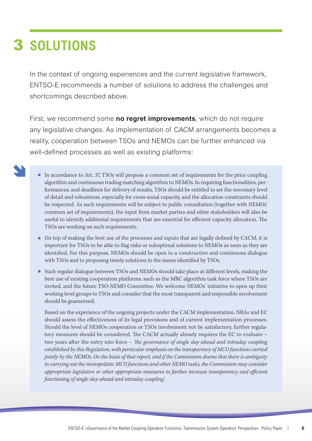# **SOLUTIONS** 3

In the context of ongoing experiences and the current legislative framework, ENTSO-E recommends a number of solutions to address the challenges and shortcomings described above.

First, we recommend some **no regret improvements**, which do not require any legislative changes. As implementation of CACM arrangements becomes a reality, cooperation between TSOs and NEMOs can be further enhanced via well-defined processes as well as existing platforms:

- 
- In accordance to Art. 37, TSOs will propose a common set of requirements for the price coupling algorithm and continuous trading matching algorithm to NEMOs. In requiring functionalities, performances, and deadlines for delivery of results, TSOs should be entitled to set the necessary level of detail and robustness, especially for cross-zonal capacity, and the allocation constraints should be respected. As such requirements will be subject to public consultation (together with NEMOs' common set of requirements), the input from market parties and other stakeholders will also be useful to identify additional requirements that are essential for efficient capacity allocation. The TSOs are working on such requirements.
- On top of making the best use of the processes and inputs that are legally defined by CACM, it is important for TSOs to be able to flag risks or suboptimal solutions to NEMOs as soon as they are identified. For this purpose, NEMOs should be open to a constructive and continuous dialogue with TSOs and to proposing timely solutions to the issues identified by TSOs.
- Such regular dialogue between TSOs and NEMOs should take place at different levels, making the best use of existing cooperation platforms, such as the MRC algorithm task force where TSOs are invited, and the future TSO-NEMO Committee. We welcome NEMOs' initiative to open up their working level groups to TSOs and consider that the most transparent and responsible involvement should be guaranteed.

Based on the experience of the ongoing projects under the CACM implementation, NRAs and EC should assess the effectiveness of its legal provisions and of current implementation processes. Should the level of NEMOs cooperation or TSOs involvement not be satisfactory, further regulatory measures should be considered. The CACM actually already requires the EC to evaluate – two years after the entry into force – *'the governance of single day-ahead and intraday coupling established by this Regulation, with particular emphasis on the transparency of MCO functions carried jointly by the NEMOs. On the basis of that report, and if the Commission deems that there is ambiguity in carrying out the monopolistic MCO functions and other NEMO tasks, the Commission may consider appropriate legislative or other appropriate measures to further increase transparency and efficient functioning of single day-ahead and intraday coupling'*.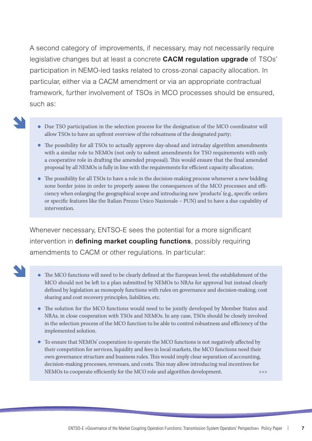A second category of improvements, if necessary, may not necessarily require legislative changes but at least a concrete **CACM regulation upgrade** of TSOs' participation in NEMO-led tasks related to cross-zonal capacity allocation. In particular, either via a CACM amendment or via an appropriate contractual framework, further involvement of TSOs in MCO processes should be ensured, such as:

- 
- Due TSO participation in the selection process for the designation of the MCO coordinator will allow TSOs to have an upfront overview of the robustness of the designated party;
- The possibility for all TSOs to actually approve day-ahead and intraday algorithm amendments with a similar role to NEMOs (not only to submit amendments for TSO requirements with only a cooperative role in drafting the amended proposal). This would ensure that the final amended proposal by all NEMOs is fully in line with the requirements for efficient capacity allocation;
- The possibility for all TSOs to have a role in the decision-making process whenever a new bidding zone border joins in order to properly assess the consequences of the MCO processes and efficiency when enlarging the geographical scope and introducing new 'products' (e.g., specific orders or specific features like the Italian Prezzo Unico Nazionale – PUN) and to have a due capability of intervention.

Whenever necessary, ENTSO-E sees the potential for a more significant intervention in **defining market coupling functions**, possibly requiring amendments to CACM or other regulations. In particular:

- 
- The MCO functions will need to be clearly defined at the European level; the establishment of the MCO should not be left to a plan submitted by NEMOs to NRAs for approval but instead clearly defined by legislation as monopoly functions with rules on governance and decision-making, cost sharing and cost recovery principles, liabilities, etc.
- The solution for the MCO functions would need to be jointly developed by Member States and NRAs, in close cooperation with TSOs and NEMOs. In any case, TSOs should be closely involved in the selection process of the MCO function to be able to control robustness and efficiency of the implemented solution.
- To ensure that NEMOs' cooperation to operate the MCO functions is not negatively affected by their competition for services, liquidity and fees in local markets, the MCO functions need their own governance structure and business rules. This would imply clear separation of accounting, decision-making processes, revenues, and costs. This may allow introducing real incentives for NEMOs to cooperate efficiently for the MCO role and algorithm development. >>>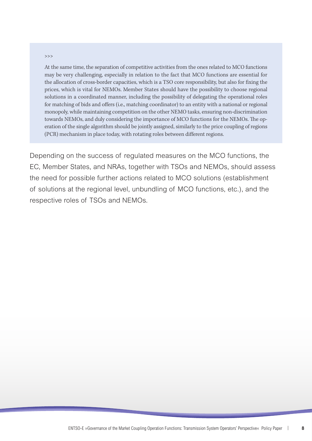#### >>>

At the same time, the separation of competitive activities from the ones related to MCO functions may be very challenging, especially in relation to the fact that MCO functions are essential for the allocation of cross-border capacities, which is a TSO core responsibility, but also for fixing the prices, which is vital for NEMOs. Member States should have the possibility to choose regional solutions in a coordinated manner, including the possibility of delegating the operational roles for matching of bids and offers (i.e., matching coordinator) to an entity with a national or regional monopoly, while maintaining competition on the other NEMO tasks, ensuring non-discrimination towards NEMOs, and duly considering the importance of MCO functions for the NEMOs. The operation of the single algorithm should be jointly assigned, similarly to the price coupling of regions (PCR) mechanism in place today, with rotating roles between different regions.

Depending on the success of regulated measures on the MCO functions, the EC, Member States, and NRAs, together with TSOs and NEMOs, should assess the need for possible further actions related to MCO solutions (establishment of solutions at the regional level, unbundling of MCO functions, etc.), and the respective roles of TSOs and NEMOs.